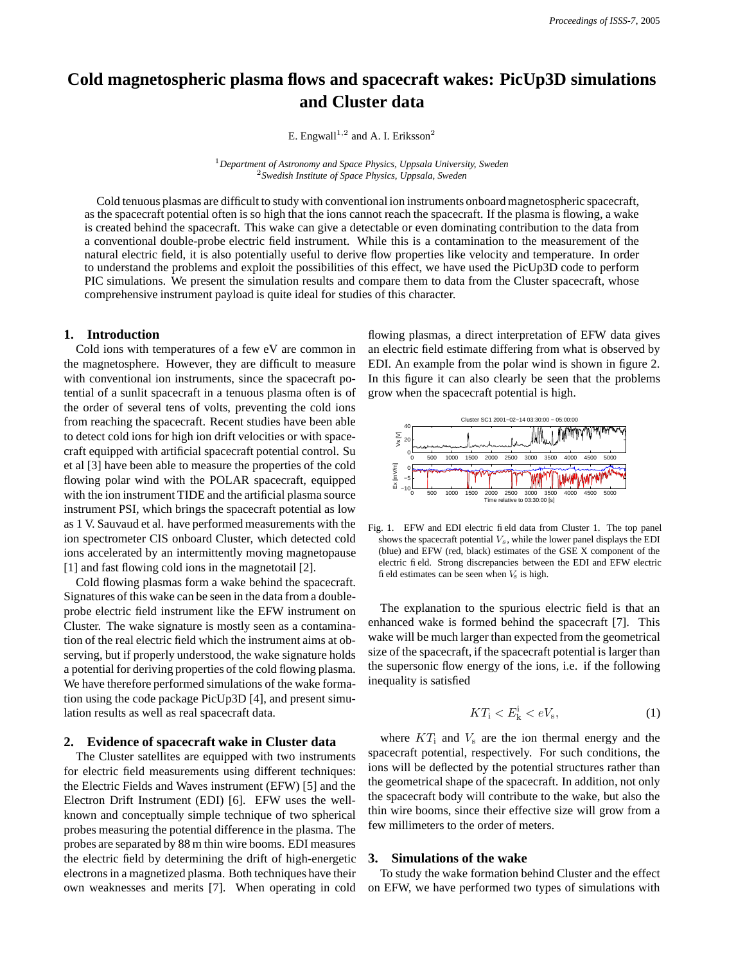# **Cold magnetospheric plasma flows and spacecraft wakes: PicUp3D simulations and Cluster data**

E. Engwall<sup>1,2</sup> and A. I. Eriksson<sup>2</sup>

<sup>1</sup>*Department of Astronomy and Space Physics, Uppsala University, Sweden* <sup>2</sup>*Swedish Institute of Space Physics, Uppsala, Sweden*

Cold tenuous plasmas are difficult to study with conventional ion instruments onboard magnetospheric spacecraft, as the spacecraft potential often is so high that the ions cannot reach the spacecraft. If the plasma is flowing, a wake is created behind the spacecraft. This wake can give a detectable or even dominating contribution to the data from a conventional double-probe electric field instrument. While this is a contamination to the measurement of the natural electric field, it is also potentially useful to derive flow properties like velocity and temperature. In order to understand the problems and exploit the possibilities of this effect, we have used the PicUp3D code to perform PIC simulations. We present the simulation results and compare them to data from the Cluster spacecraft, whose comprehensive instrument payload is quite ideal for studies of this character.

## **1. Introduction**

Cold ions with temperatures of a few eV are common in the magnetosphere. However, they are difficult to measure with conventional ion instruments, since the spacecraft potential of a sunlit spacecraft in a tenuous plasma often is of the order of several tens of volts, preventing the cold ions from reaching the spacecraft. Recent studies have been able to detect cold ions for high ion drift velocities or with spacecraft equipped with artificial spacecraft potential control. Su et al [3] have been able to measure the properties of the cold flowing polar wind with the POLAR spacecraft, equipped with the ion instrument TIDE and the artificial plasma source instrument PSI, which brings the spacecraft potential as low as 1 V. Sauvaud et al. have performed measurements with the ion spectrometer CIS onboard Cluster, which detected cold ions accelerated by an intermittently moving magnetopause [1] and fast flowing cold ions in the magnetotail [2].

Cold flowing plasmas form a wake behind the spacecraft. Signatures of this wake can be seen in the data from a doubleprobe electric field instrument like the EFW instrument on Cluster. The wake signature is mostly seen as a contamination of the real electric field which the instrument aims at observing, but if properly understood, the wake signature holds a potential for deriving properties of the cold flowing plasma. We have therefore performed simulations of the wake formation using the code package PicUp3D [4], and present simulation results as well as real spacecraft data.

## **2. Evidence of spacecraft wake in Cluster data**

The Cluster satellites are equipped with two instruments for electric field measurements using different techniques: the Electric Fields and Waves instrument (EFW) [5] and the Electron Drift Instrument (EDI) [6]. EFW uses the wellknown and conceptually simple technique of two spherical probes measuring the potential difference in the plasma. The probes are separated by 88 m thin wire booms. EDI measures the electric field by determining the drift of high-energetic electronsin a magnetized plasma. Both techniques have their own weaknesses and merits [7]. When operating in cold flowing plasmas, a direct interpretation of EFW data gives an electric field estimate differing from what is observed by EDI. An example from the polar wind is shown in figure 2. In this figure it can also clearly be seen that the problems grow when the spacecraft potential is high.



Fig. 1. EFW and EDI electric field data from Cluster 1. The top panel shows the spacecraft potential  $V_s$ , while the lower panel displays the EDI (blue) and EFW (red, black) estimates of the GSE X component of the electric field. Strong discrepancies between the EDI and EFW electric field estimates can be seen when  $V<sub>s</sub>$  is high.

The explanation to the spurious electric field is that an enhanced wake is formed behind the spacecraft [7]. This wake will be much larger than expected from the geometrical size of the spacecraft, if the spacecraft potential is larger than the supersonic flow energy of the ions, i.e. if the following inequality is satisfied

$$
KT_{\rm i} < E_{\rm k}^{\rm i} < eV_{\rm s},\tag{1}
$$

where  $KT_i$  and  $V_s$  are the ion thermal energy and the spacecraft potential, respectively. For such conditions, the ions will be deflected by the potential structures rather than the geometrical shape of the spacecraft. In addition, not only the spacecraft body will contribute to the wake, but also the thin wire booms, since their effective size will grow from a few millimeters to the order of meters.

### **3. Simulations of the wake**

To study the wake formation behind Cluster and the effect on EFW, we have performed two types of simulations with